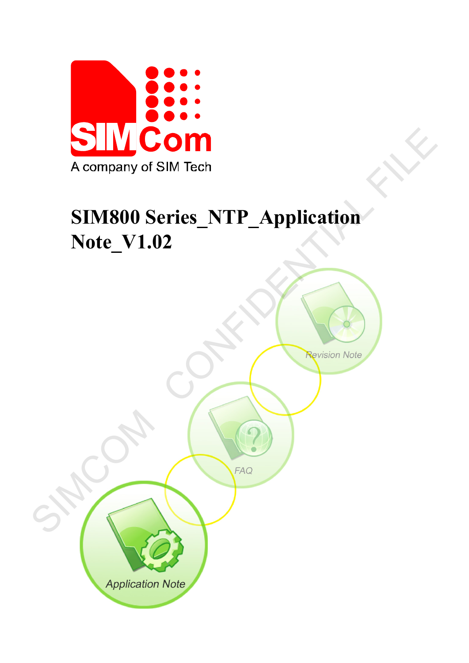

# **SIM800 Series\_NTP\_Application Note\_V1.02**

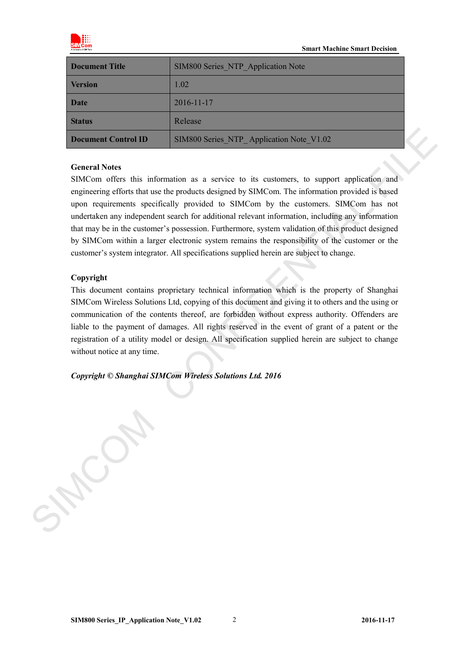

| Document Title      | SIM800 Series NTP Application Note       |
|---------------------|------------------------------------------|
| <b>Version</b>      | 1.02                                     |
| <b>Date</b>         | $2016 - 11 - 17$                         |
| <b>Status</b>       | Release                                  |
| Document Control ID | SIM800 Series NTP Application Note V1.02 |

#### **General Notes**

SIMCom offers this information as a service to its customers, to support application and engineering efforts that use the products designed by SIMCom. The information provided is based upon requirements specifically provided to SIMCom by the customers. SIMCom has not undertaken any independent search for additional relevant information, including any information that may be in the customer's possession. Furthermore, system validation of this product designed by SIMCom within a larger electronic system remains the responsibility of the customer or the customer's system integrator. All specifications supplied herein are subject to change. **Denument Control ID**<br>
SIMS00 Scries NTP\_Application Note V1.02<br>
General Notes<br>
SIMCom offers this information as a service to its customers, to support application and<br>
expirements that are the protoctal designed by SIMC

#### **Copyright**

This document contains proprietary technical information which is the property of Shanghai SIMCom Wireless Solutions Ltd, copying of this document and giving it to others and the using or communication of the contents thereof, are forbidden without express authority. Offenders are liable to the payment of damages. All rights reserved in the event of grant of a patent or the registration of a utility model or design. All specification supplied herein are subject to change without notice at any time.

*Copyright © Shanghai SIMCom Wireless Solutions Ltd. 2016*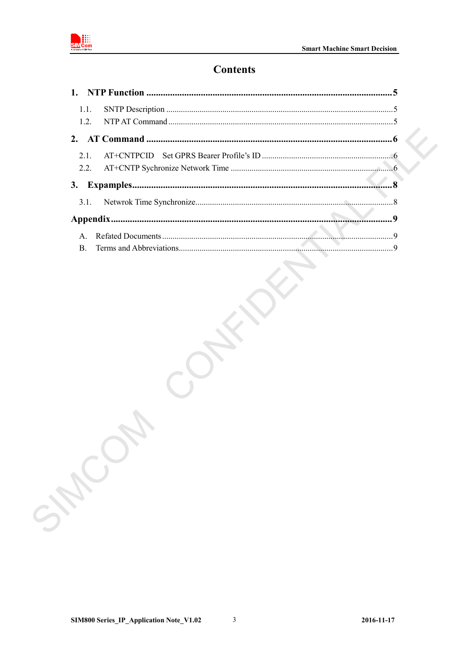

## **Contents**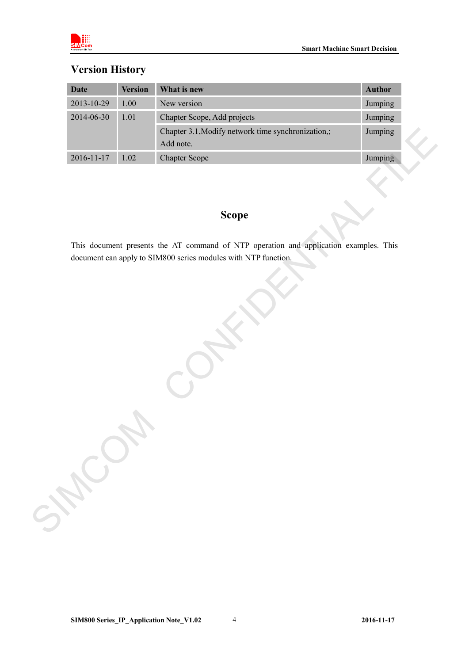

# **Version History**

| $1.00\,$<br>New version<br>Jumping<br>$1.01\,$<br>Jumping<br>Chapter Scope, Add projects<br>Chapter 3.1, Modify network time synchronization,;<br>Jumping<br>Add note.<br>1.02<br>Jumping<br><b>Chapter Scope</b><br><b>Scope</b><br>This document presents the AT command of NTP operation and application examples. This<br>document can apply to SIM800 series modules with NTP function.<br>SHOW | <b>Date</b>      | <b>Version</b> | What is new | <b>Author</b> |
|------------------------------------------------------------------------------------------------------------------------------------------------------------------------------------------------------------------------------------------------------------------------------------------------------------------------------------------------------------------------------------------------------|------------------|----------------|-------------|---------------|
|                                                                                                                                                                                                                                                                                                                                                                                                      | 2013-10-29       |                |             |               |
|                                                                                                                                                                                                                                                                                                                                                                                                      | 2014-06-30       |                |             |               |
|                                                                                                                                                                                                                                                                                                                                                                                                      |                  |                |             |               |
|                                                                                                                                                                                                                                                                                                                                                                                                      | $2016 - 11 - 17$ |                |             |               |
|                                                                                                                                                                                                                                                                                                                                                                                                      |                  |                |             |               |
|                                                                                                                                                                                                                                                                                                                                                                                                      |                  |                |             |               |
|                                                                                                                                                                                                                                                                                                                                                                                                      |                  |                |             |               |
|                                                                                                                                                                                                                                                                                                                                                                                                      |                  |                |             |               |
|                                                                                                                                                                                                                                                                                                                                                                                                      |                  |                |             |               |
|                                                                                                                                                                                                                                                                                                                                                                                                      |                  |                |             |               |
|                                                                                                                                                                                                                                                                                                                                                                                                      |                  |                |             |               |
|                                                                                                                                                                                                                                                                                                                                                                                                      |                  |                |             |               |
|                                                                                                                                                                                                                                                                                                                                                                                                      |                  |                |             |               |
|                                                                                                                                                                                                                                                                                                                                                                                                      |                  |                |             |               |
|                                                                                                                                                                                                                                                                                                                                                                                                      |                  |                |             |               |
|                                                                                                                                                                                                                                                                                                                                                                                                      |                  |                |             |               |
|                                                                                                                                                                                                                                                                                                                                                                                                      |                  |                |             |               |
|                                                                                                                                                                                                                                                                                                                                                                                                      |                  |                |             |               |
|                                                                                                                                                                                                                                                                                                                                                                                                      |                  |                |             |               |
|                                                                                                                                                                                                                                                                                                                                                                                                      |                  |                |             |               |
|                                                                                                                                                                                                                                                                                                                                                                                                      |                  |                |             |               |

# **Scope**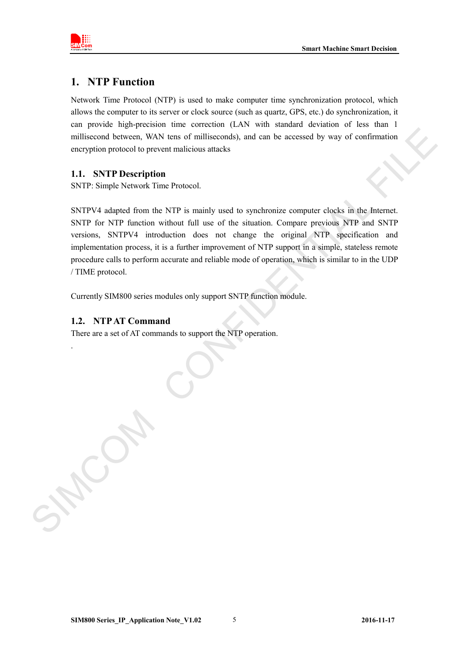

## <span id="page-4-0"></span>**1. NTP Function**

Network Time Protocol (NTP) is used to make computer time synchronization protocol, which allows the computer to its server or clock source (such as quartz, GPS, etc.) do synchronization, it can provide high-precision time correction (LAN with standard deviation of less than 1 millisecond between, WAN tens of milliseconds), and can be accessed by way of confirmation encryption protocol to prevent malicious attacks

#### <span id="page-4-1"></span>**1.1. SNTP Description**

SNTP: Simple Network Time Protocol.

SNTPV4 adapted from the NTP is mainly used to synchronize computer clocks in the Internet. SNTP for NTP function without full use of the situation. Compare previous NTP and SNTP versions, SNTPV4 introduction does not change the original NTP specification and implementation process, it is a further improvement of NTP support in a simple, stateless remote procedure calls to perform accurate and reliable mode of operation, which is similar to in the UDP / TIME protocol.

Currently SIM800 series modules only support SNTP function module.

#### <span id="page-4-2"></span>**1.2. NTPAT Command**

.

There are a set of AT commands to support the NTP operation.

millisecond between, WAN tens of milliseconds), and can be accessed by way of confirmation<br>encryption probabil to prescription<br>1.1. SYTP Description<br>1.1. The Decription of the STF is mainly used to synchronize computer cho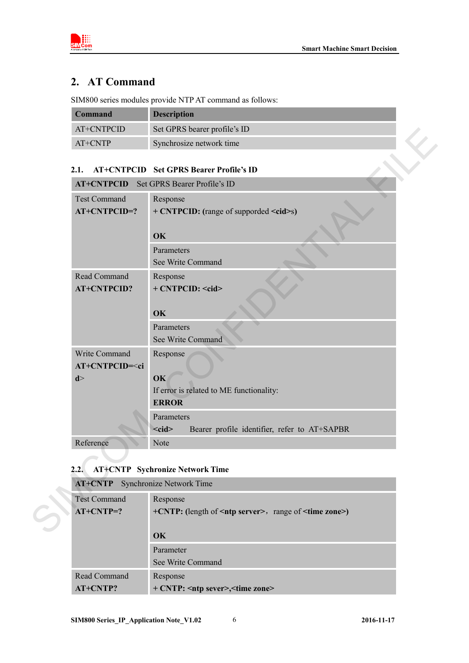



# <span id="page-5-0"></span>**2. AT Command**

SIM800 series modules provide NTP AT command as follows:

| <b>Command</b> | <b>Description</b>           |
|----------------|------------------------------|
| AT+CNTPCID     | Set GPRS bearer profile's ID |
| $AT+CNTP$      | Synchrosize network time     |

## <span id="page-5-1"></span>**2.1. AT+CNTPCID Set GPRS Bearer Profile's ID**

| <b>Test Command</b>                                | Response                                                                   |
|----------------------------------------------------|----------------------------------------------------------------------------|
| AT+CNTPCID=?                                       | + CNTPCID: (range of supporded <cid>s)<br/>OK</cid>                        |
|                                                    | Parameters<br>See Write Command                                            |
| Read Command<br><b>AT+CNTPCID?</b>                 | Response<br>+ CNTPCID: <cid><br/>OK</cid>                                  |
|                                                    | Parameters<br>See Write Command                                            |
| Write Command<br>AT+CNTPCID= <ci<br>d &gt;</ci<br> | Response<br>OK<br>If error is related to ME functionality:<br><b>ERROR</b> |
|                                                    | Parameters<br>$<$ cid $>$<br>Bearer profile identifier, refer to AT+SAPBR  |
| Reference<br>2.2.                                  | Note<br><b>AT+CNTP</b> Sychronize Network Time                             |

# <span id="page-5-2"></span>**2.2. AT+CNTP Sychronize Network Time**

| <b>AT+CNTP</b> Synchronize Network Time |                                                                      |
|-----------------------------------------|----------------------------------------------------------------------|
| <b>Test Command</b>                     | Response                                                             |
| $AT+CNTP=?$                             | $+CNTP$ : (length of $\leq$ ntp server>, range of $\leq$ time zone>) |
|                                         |                                                                      |
|                                         | $\alpha$                                                             |
|                                         | Parameter                                                            |
|                                         | See Write Command                                                    |
| Read Command                            | Response                                                             |
| $AT+CNTP?$                              | + CNTP: <ntp sever="">, <time zone=""></time></ntp>                  |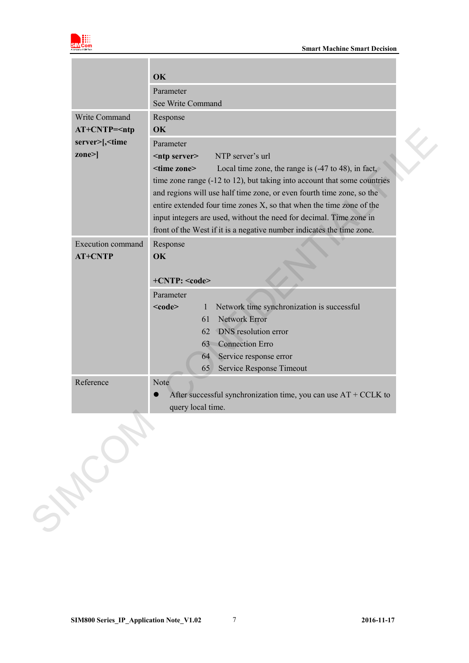

|                                                   | OK                                                                                                  |
|---------------------------------------------------|-----------------------------------------------------------------------------------------------------|
|                                                   | Parameter                                                                                           |
|                                                   | See Write Command                                                                                   |
| Write Command                                     | Response                                                                                            |
| $AT+CNTP=\nntp$                                   | OK                                                                                                  |
| server>[, <time< th=""><th>Parameter</th></time<> | Parameter                                                                                           |
| $\mathbf{zone}$                                   | NTP server's url<br><ntp server=""></ntp>                                                           |
|                                                   | <time zone=""><br/>Local time zone, the range is <math>(-47 \text{ to } 48)</math>, in fact,</time> |
|                                                   | time zone range (-12 to 12), but taking into account that some countries                            |
|                                                   | and regions will use half time zone, or even fourth time zone, so the                               |
|                                                   | entire extended four time zones X, so that when the time zone of the                                |
|                                                   | input integers are used, without the need for decimal. Time zone in                                 |
|                                                   | front of the West if it is a negative number indicates the time zone.                               |
| <b>Execution command</b>                          | Response                                                                                            |
| <b>AT+CNTP</b>                                    | OK                                                                                                  |
|                                                   |                                                                                                     |
|                                                   | +CNTP: <code></code>                                                                                |
|                                                   | Parameter                                                                                           |
|                                                   | Network time synchronization is successful<br>$<$ code $>$<br>1                                     |
|                                                   | Network Error<br>61                                                                                 |
|                                                   | DNS resolution error<br>62                                                                          |
|                                                   | <b>Connection Erro</b><br>63                                                                        |
|                                                   | Service response error<br>64                                                                        |
|                                                   | Service Response Timeout<br>65                                                                      |
| Reference                                         | <b>Note</b>                                                                                         |
|                                                   | After successful synchronization time, you can use $AT + CCLK$ to                                   |
|                                                   | query local time.                                                                                   |
|                                                   |                                                                                                     |
|                                                   |                                                                                                     |
|                                                   |                                                                                                     |
|                                                   |                                                                                                     |
|                                                   |                                                                                                     |
|                                                   |                                                                                                     |
|                                                   |                                                                                                     |
| SHOWN                                             |                                                                                                     |
|                                                   |                                                                                                     |
|                                                   |                                                                                                     |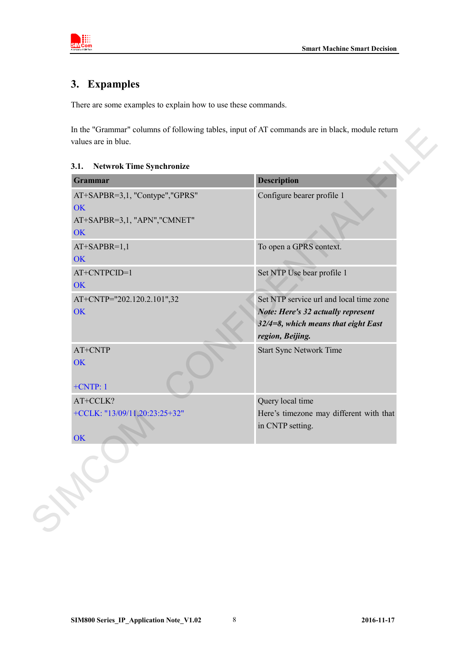

# <span id="page-7-0"></span>**3. Expamples**

There are some examples to explain how to use these commands.

In the "Grammar" columns of following tables, input of AT commands are in black, module return values are in blue.

<span id="page-7-1"></span>

| Grammar                                                                           | <b>Description</b>                                                                                                                          |
|-----------------------------------------------------------------------------------|---------------------------------------------------------------------------------------------------------------------------------------------|
| AT+SAPBR=3,1, "Contype","GPRS"<br>OK<br>AT+SAPBR=3,1, "APN", "CMNET"<br><b>OK</b> | Configure bearer profile 1                                                                                                                  |
| $AT+SAPBR=1,1$<br>OK                                                              | To open a GPRS context.                                                                                                                     |
| AT+CNTPCID=1<br>OK                                                                | Set NTP Use bear profile 1                                                                                                                  |
| AT+CNTP="202.120.2.101",32<br>OK                                                  | Set NTP service url and local time zone<br>Note: Here's 32 actually represent<br>$32/4=8$ , which means that eight East<br>region, Beijing. |
| AT+CNTP<br>OK<br>$+CNTP:1$                                                        | <b>Start Sync Network Time</b>                                                                                                              |
| AT+CCLK?                                                                          | Query local time                                                                                                                            |
| +CCLK: "13/09/11,20:23:25+32"<br>OK                                               | Here's timezone may different with that<br>in CNTP setting.                                                                                 |
|                                                                                   |                                                                                                                                             |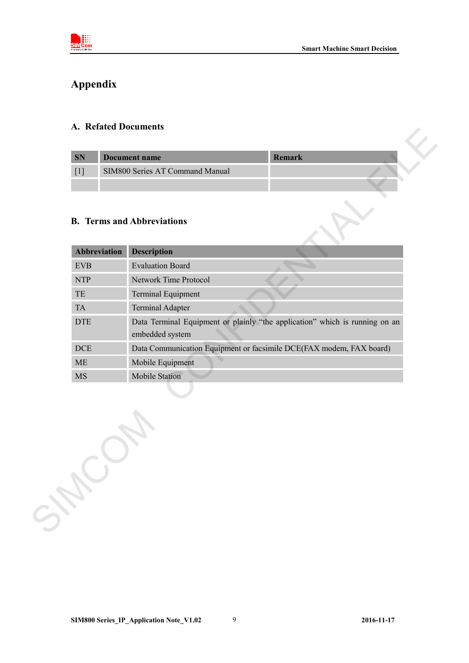

# <span id="page-8-0"></span>**Appendix**

#### <span id="page-8-1"></span>**A. Refated Documents**

| <b>SN</b> | Document name                   | <b>Remark</b> |  |
|-----------|---------------------------------|---------------|--|
|           | SIM800 Series AT Command Manual |               |  |
|           |                                 |               |  |

## <span id="page-8-2"></span>**B. Terms and Abbreviations**

| SN                         | Remark<br><b>Document name</b>                                              |
|----------------------------|-----------------------------------------------------------------------------|
| $[1]$                      | SIM800 Series AT Command Manual                                             |
|                            |                                                                             |
|                            | <b>B.</b> Terms and Abbreviations                                           |
| <b>Abbreviation</b>        | <b>Description</b>                                                          |
| <b>EVB</b>                 | <b>Evaluation Board</b>                                                     |
| <b>NTP</b>                 | Network Time Protocol                                                       |
| $\ensuremath{\mathsf{TE}}$ | Terminal Equipment                                                          |
| TA                         | <b>Terminal Adapter</b>                                                     |
| <b>DTE</b>                 | Data Terminal Equipment or plainly "the application" which is running on an |
|                            | embedded system                                                             |
| $DCE$                      | Data Communication Equipment or facsimile DCE(FAX modem, FAX board)         |
| $\rm ME$                   | Mobile Equipment                                                            |
| MS                         | Mobile Station                                                              |
|                            |                                                                             |

**SIM800 Series\_IP\_Application Note\_V1.02** 9 **2016-11-17**